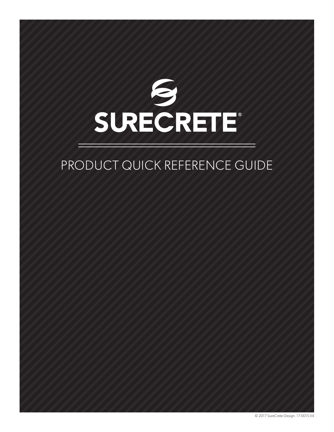

# PRODUCT QUICK REFERENCE GUIDE

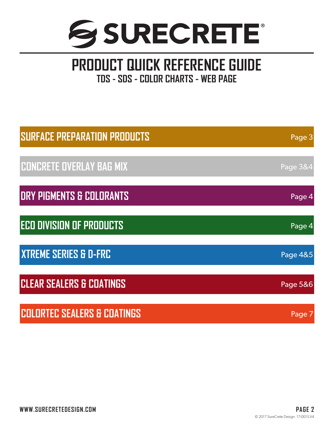

## **PRODUCT QUICK REFERENCE GUIDE TDS - SDS - COLOR CHARTS - WEB PAGE**

| <b>SURFACE PREPARATION PRODUCTS</b>    | Page 3   |
|----------------------------------------|----------|
| <b>CONCRETE OVERLAY BAG MIX</b>        | Page 3&4 |
| <b>DRY PIGMENTS &amp; COLORANTS</b>    | Page 4   |
| <b>ECO DIVISION OF PRODUCTS</b>        | Page 4   |
| <b>XTREME SERIES &amp; D-FRC</b>       | Page 4&5 |
| <b>CLEAR SEALERS &amp; COATINGS</b>    | Page 5&6 |
| <b>COLORTEC SEALERS &amp; COATINGS</b> | Page 7   |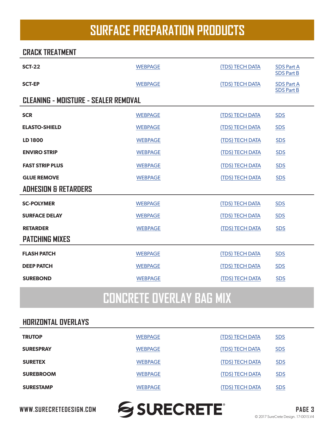# **SURFACE PREPARATION PRODUCTS**

#### <span id="page-2-0"></span>**CRACK TREATMENT**

| <b>SCT-22</b>                               | <b>WEBPAGE</b> | (TDS) TECH DATA        | <b>SDS Part A</b><br><b>SDS Part B</b> |
|---------------------------------------------|----------------|------------------------|----------------------------------------|
| <b>SCT-EP</b>                               | <b>WEBPAGE</b> | <b>(TDS) TECH DATA</b> | <b>SDS Part A</b><br><b>SDS Part B</b> |
| <b>CLEANING - MOISTURE - SEALER REMOVAL</b> |                |                        |                                        |
| <b>SCR</b>                                  | <b>WEBPAGE</b> | (TDS) TECH DATA        | <b>SDS</b>                             |
| <b>ELASTO-SHIELD</b>                        | <b>WEBPAGE</b> | (TDS) TECH DATA        | <b>SDS</b>                             |
| LD 1800                                     | <b>WEBPAGE</b> | (TDS) TECH DATA        | <b>SDS</b>                             |
| <b>ENVIRO STRIP</b>                         | <b>WEBPAGE</b> | (TDS) TECH DATA        | <b>SDS</b>                             |
| <b>FAST STRIP PLUS</b>                      | <b>WEBPAGE</b> | (TDS) TECH DATA        | <b>SDS</b>                             |
| <b>GLUE REMOVE</b>                          | <b>WEBPAGE</b> | <b>(TDS) TECH DATA</b> | <b>SDS</b>                             |
| <b>ADHESION &amp; RETARDERS</b>             |                |                        |                                        |
| <b>SC-POLYMER</b>                           | <b>WEBPAGE</b> | (TDS) TECH DATA        | <b>SDS</b>                             |
| <b>SURFACE DELAY</b>                        | <b>WEBPAGE</b> | (TDS) TECH DATA        | <b>SDS</b>                             |
| <b>RETARDER</b>                             | <b>WEBPAGE</b> | (TDS) TECH DATA        | <b>SDS</b>                             |
| <b>PATCHING MIXES</b>                       |                |                        |                                        |
| <b>FLASH PATCH</b>                          | <b>WEBPAGE</b> | (TDS) TECH DATA        | <b>SDS</b>                             |
| <b>DEEP PATCH</b>                           | <b>WEBPAGE</b> | (TDS) TECH DATA        | <b>SDS</b>                             |
| <b>SUREBOND</b>                             | <b>WEBPAGE</b> | (TDS) TECH DATA        | <b>SDS</b>                             |
|                                             |                |                        |                                        |

# **CONCRETE OVERLAY BAG MIX**

### **HORIZONTAL OVERLAYS**

| <b>TRUTOP</b>    | <b>WEBPAGE</b> | (TDS) TECH DATA        | <b>SDS</b> |
|------------------|----------------|------------------------|------------|
| <b>SURESPRAY</b> | <b>WEBPAGE</b> | (TDS) TECH DATA        | <b>SDS</b> |
| <b>SURETEX</b>   | <b>WEBPAGE</b> | <b>(TDS) TECH DATA</b> | <b>SDS</b> |
| <b>SUREBROOM</b> | <b>WEBPAGE</b> | <b>(TDS) TECH DATA</b> | <u>SDS</u> |
| <b>SURESTAMP</b> | <b>WEBPAGE</b> | <b>(TDS) TECH DATA</b> | <b>SDS</b> |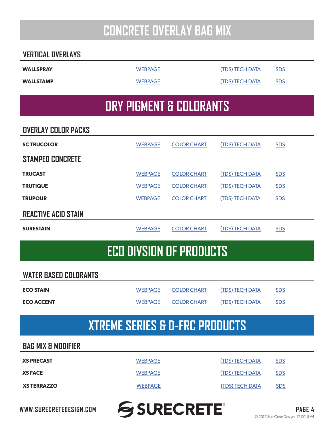# **CONCRETE OVERLAY BAG MIX**

### <span id="page-3-0"></span>**VERTICAL OVERLAYS**

**WALLSTAMP** [WEBPAGE](https://www.surecretedesign.com/product/concrete-wall-stamp-overlay/) [\(TDS\) TECH DATA](https://www.surecretedesign.com/tds/bag-mix-wall-stamp-tds.pdf) [SDS](https://www.surecretedesign.com/sds/bag-mix-wall-stamp-sds.pdf)

# **WALLSPRAY** [WEBPAGE](https://www.surecretedesign.com/product/concrete-wall-spray-overlay/) [\(TDS\) TECH DATA](https://www.surecretedesign.com/tds/bag-mix-wall-spray-tds.pdf) [SDS](https://www.surecretedesign.com/sds/bag-mix-wall-spray-sds.pdf)

# **DRY PIGMENT & COLORANTS**

### **OVERLAY COLOR PACKS**

| <b>SC TRUCOLOR</b>         | <b>WEBPAGE</b> | <b>COLOR CHART</b> | (TDS) TECH DATA        | <b>SDS</b> |
|----------------------------|----------------|--------------------|------------------------|------------|
| <b>STAMPED CONCRETE</b>    |                |                    |                        |            |
| <b>TRUCAST</b>             | <b>WEBPAGE</b> | <b>COLOR CHART</b> | <b>(TDS) TECH DATA</b> | <b>SDS</b> |
| <b>TRUTIQUE</b>            | <b>WEBPAGE</b> | <b>COLOR CHART</b> | (TDS) TECH DATA        | <b>SDS</b> |
| <b>TRUPOUR</b>             | <b>WEBPAGE</b> | <b>COLOR CHART</b> | <b>(TDS) TECH DATA</b> | <b>SDS</b> |
| <b>REACTIVE ACID STAIN</b> |                |                    |                        |            |
| <b>SURESTAIN</b>           | <b>WEBPAGE</b> | <b>COLOR CHART</b> | (TDS) TECH DATA        | <b>SDS</b> |

### **ECO DIVSION OF PRODUCTS**

#### **WATER BASED COLORANTS**

| <b>ECO STAIN</b>  | WEBPAGE        | <b>COLOR CHART</b> | (TDS) TECH DATA | <b>SDS</b> |
|-------------------|----------------|--------------------|-----------------|------------|
| <b>ECO ACCENT</b> | <b>WEBPAGE</b> | <b>COLOR CHART</b> | (TDS) TECH DATA | <b>SDS</b> |

### **XTREME SERIES & D-FRC PRODUCTS**

### **BAG MIX & MODIFIER**

| <b>XS PRECAST</b>  | <b>WEBPAGE</b> | (TDS) TECH DATA | <b>SDS</b> |
|--------------------|----------------|-----------------|------------|
| <b>XS FACE</b>     | <b>WEBPAGE</b> | (TDS) TECH DATA | <b>SDS</b> |
| <b>XS TERRAZZO</b> | <b>WEBPAGE</b> | (TDS) TECH DATA | <b>SDS</b> |

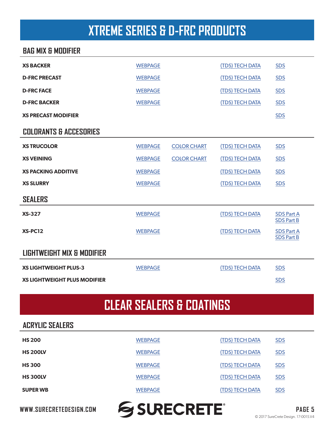# **XTREME SERIES & D-FRC PRODUCTS**

### <span id="page-4-0"></span>**BAG MIX & MODIFIER**

| <b>XS BACKER</b>                    | <b>WEBPAGE</b> |                    | (TDS) TECH DATA        | <b>SDS</b>                             |
|-------------------------------------|----------------|--------------------|------------------------|----------------------------------------|
| <b>D-FRC PRECAST</b>                | <b>WEBPAGE</b> |                    | (TDS) TECH DATA        | <b>SDS</b>                             |
| <b>D-FRC FACE</b>                   | <b>WEBPAGE</b> |                    | <b>(TDS) TECH DATA</b> | <b>SDS</b>                             |
| <b>D-FRC BACKER</b>                 | <b>WEBPAGE</b> |                    | (TDS) TECH DATA        | <b>SDS</b>                             |
| <b>XS PRECAST MODIFIER</b>          |                |                    |                        | <b>SDS</b>                             |
| <b>COLORANTS &amp; ACCESORIES</b>   |                |                    |                        |                                        |
| <b>XS TRUCOLOR</b>                  | <b>WEBPAGE</b> | <b>COLOR CHART</b> | (TDS) TECH DATA        | <b>SDS</b>                             |
| <b>XS VEINING</b>                   | <b>WEBPAGE</b> | <b>COLOR CHART</b> | (TDS) TECH DATA        | <b>SDS</b>                             |
| <b>XS PACKING ADDITIVE</b>          | <b>WEBPAGE</b> |                    | <b>(TDS) TECH DATA</b> | <b>SDS</b>                             |
| <b>XS SLURRY</b>                    | <b>WEBPAGE</b> |                    | (TDS) TECH DATA        | <b>SDS</b>                             |
| <b>SEALERS</b>                      |                |                    |                        |                                        |
| <b>XS-327</b>                       | <b>WEBPAGE</b> |                    | <b>(TDS) TECH DATA</b> | <b>SDS Part A</b><br><b>SDS Part B</b> |
| <b>XS-PC12</b>                      | <b>WEBPAGE</b> |                    | <b>(TDS) TECH DATA</b> | <b>SDS Part A</b><br><b>SDS Part B</b> |
| LIGHTWEIGHT MIX & MODIFIER          |                |                    |                        |                                        |
| <b>XS LIGHTWEIGHT PLUS-3</b>        | <b>WEBPAGE</b> |                    | <b>(TDS) TECH DATA</b> | <b>SDS</b>                             |
| <b>XS LIGHTWEIGHT PLUS MODIFIER</b> |                |                    |                        | <b>SDS</b>                             |

# **CLEAR SEALERS & COATINGS**

#### **ACRYLIC SEALERS**

| <b>HS 200</b>   | <b>WEBPAGE</b> | (TDS) TECH DATA        | <b>SDS</b> |
|-----------------|----------------|------------------------|------------|
| <b>HS 200LV</b> | <b>WEBPAGE</b> | (TDS) TECH DATA        | <b>SDS</b> |
| <b>HS 300</b>   | <b>WEBPAGE</b> | <b>(TDS) TECH DATA</b> | <u>SDS</u> |
| <b>HS 300LV</b> | <b>WEBPAGE</b> | (TDS) TECH DATA        | <b>SDS</b> |
| <b>SUPER WB</b> | <b>WEBPAGE</b> | <b>(TDS) TECH DATA</b> | <u>SDS</u> |
|                 |                |                        |            |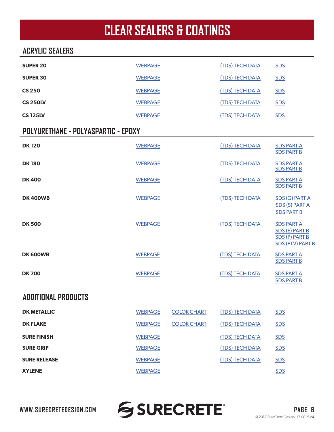# **CLEAR SEALERS & COATINGS**

### **ACRYLIC SEALERS**

| <b>WEBPAGE</b>                      |                    | (TDS) TECH DATA        |                                                                                         |
|-------------------------------------|--------------------|------------------------|-----------------------------------------------------------------------------------------|
|                                     |                    |                        | <b>SDS</b>                                                                              |
| <b>WEBPAGE</b>                      |                    | (TDS) TECH DATA        | <b>SDS</b>                                                                              |
| <b>WEBPAGE</b>                      |                    | (TDS) TECH DATA        | <b>SDS</b>                                                                              |
| <b>WEBPAGE</b>                      |                    | (TDS) TECH DATA        | <b>SDS</b>                                                                              |
| <b>WEBPAGE</b>                      |                    | (TDS) TECH DATA        | <b>SDS</b>                                                                              |
| POLYURETHANE - POLYASPARTIC - EPOXY |                    |                        |                                                                                         |
| <b>WEBPAGE</b>                      |                    | (TDS) TECH DATA        | <b>SDS PART A</b><br><b>SDS PART B</b>                                                  |
| <b>WEBPAGE</b>                      |                    | (TDS) TECH DATA        | <b>SDS PART A</b><br><b>SDS PART B</b>                                                  |
| <b>WEBPAGE</b>                      |                    | (TDS) TECH DATA        | <b>SDS PART A</b><br><b>SDS PART B</b>                                                  |
| <b>WEBPAGE</b>                      |                    | (TDS) TECH DATA        | <b>SDS (G) PART A</b><br>SDS (S) PART A<br><b>SDS PART B</b>                            |
| <b>WEBPAGE</b>                      |                    | (TDS) TECH DATA        | <b>SDS PART A</b><br>SDS (E) PART B<br><b>SDS (P) PART B</b><br><b>SDS (PTV) PART B</b> |
| <b>WEBPAGE</b>                      |                    | (TDS) TECH DATA        | <b>SDS PART A</b><br><b>SDS PART B</b>                                                  |
| <b>WEBPAGE</b>                      |                    | (TDS) TECH DATA        | <b>SDS PART A</b><br><b>SDS PART B</b>                                                  |
|                                     |                    |                        |                                                                                         |
| <b>WEBPAGE</b>                      | <b>COLOR CHART</b> | (TDS) TECH DATA        | <b>SDS</b>                                                                              |
| <b>WEBPAGE</b>                      | <b>COLOR CHART</b> | (TDS) TECH DATA        | <b>SDS</b>                                                                              |
| <b>WEBPAGE</b>                      |                    | (TDS) TECH DATA        | <b>SDS</b>                                                                              |
| <b>WEBPAGE</b>                      |                    | <b>(TDS) TECH DATA</b> | <b>SDS</b>                                                                              |
| <b>WEBPAGE</b>                      |                    | (TDS) TECH DATA        | <b>SDS</b>                                                                              |
| <b>WEBPAGE</b>                      |                    |                        | <b>SDS</b>                                                                              |
|                                     |                    |                        |                                                                                         |